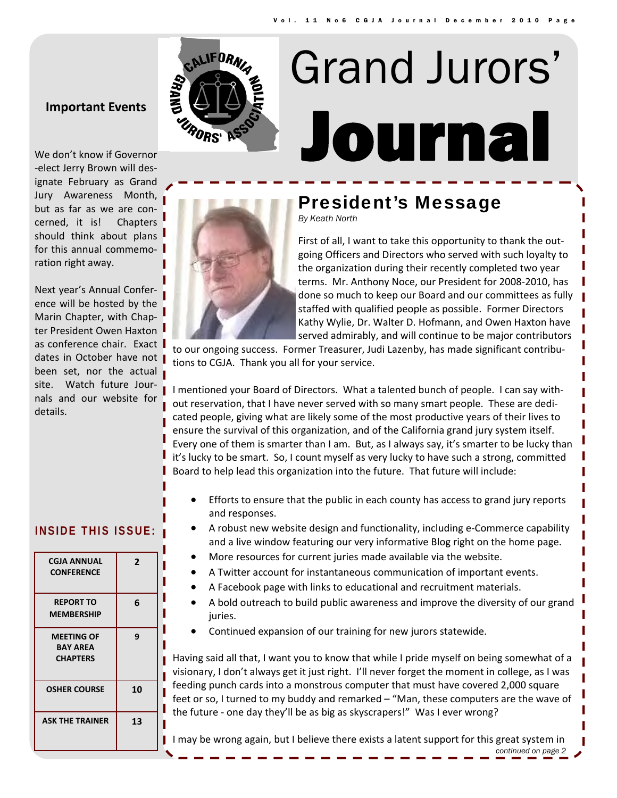## **Important Events**



# Journal Grand Jurors'



## President's Message

*By Keath North* 

First of all, I want to take this opportunity to thank the out‐ going Officers and Directors who served with such loyalty to the organization during their recently completed two year terms. Mr. Anthony Noce, our President for 2008‐2010, has done so much to keep our Board and our committees as fully staffed with qualified people as possible. Former Directors Kathy Wylie, Dr. Walter D. Hofmann, and Owen Haxton have served admirably, and will continue to be major contributors

to our ongoing success. Former Treasurer, Judi Lazenby, has made significant contributions to CGJA. Thank you all for your service.

I mentioned your Board of Directors. What a talented bunch of people. I can say with‐ out reservation, that I have never served with so many smart people. These are dedi‐ cated people, giving what are likely some of the most productive years of their lives to ensure the survival of this organization, and of the California grand jury system itself. Every one of them is smarter than I am. But, as I always say, it's smarter to be lucky than it's lucky to be smart. So, I count myself as very lucky to have such a strong, committed Board to help lead this organization into the future. That future will include:

- Efforts to ensure that the public in each county has access to grand jury reports and responses.
- A robust new website design and functionality, including e‐Commerce capability and a live window featuring our very informative Blog right on the home page.
- More resources for current juries made available via the website.
- A Twitter account for instantaneous communication of important events.
- A Facebook page with links to educational and recruitment materials.
- A bold outreach to build public awareness and improve the diversity of our grand juries.
- Continued expansion of our training for new jurors statewide.

Having said all that, I want you to know that while I pride myself on being somewhat of a visionary, I don't always get it just right. I'll never forget the moment in college, as I was feeding punch cards into a monstrous computer that must have covered 2,000 square feet or so, I turned to my buddy and remarked – "Man, these computers are the wave of the future ‐ one day they'll be as big as skyscrapers!" Was I ever wrong?

I may be wrong again, but I believe there exists a latent support for this great system in

## ‐elect Jerry Brown will des‐

ignate February as Grand Jury Awareness Month, but as far as we are con‐ cerned, it is! Chapters should think about plans for this annual commemo‐ ration right away.

Next year's Annual Confer‐ ence will be hosted by the Marin Chapter, with Chap‐ ter President Owen Haxton as conference chair. Exact dates in October have not been set, nor the actual site. Watch future Journals and our website for details.

## **INSIDE THIS ISSUE:**

| <b>CGJA ANNUAL</b><br><b>CONFERENCE</b>                 | 2  |
|---------------------------------------------------------|----|
| <b>REPORT TO</b><br><b>MEMBERSHIP</b>                   | 6  |
| <b>MEETING OF</b><br><b>BAY AREA</b><br><b>CHAPTERS</b> | 9  |
| <b>OSHER COURSE</b>                                     | 10 |
| <b>ASK THE TRAINER</b>                                  | 13 |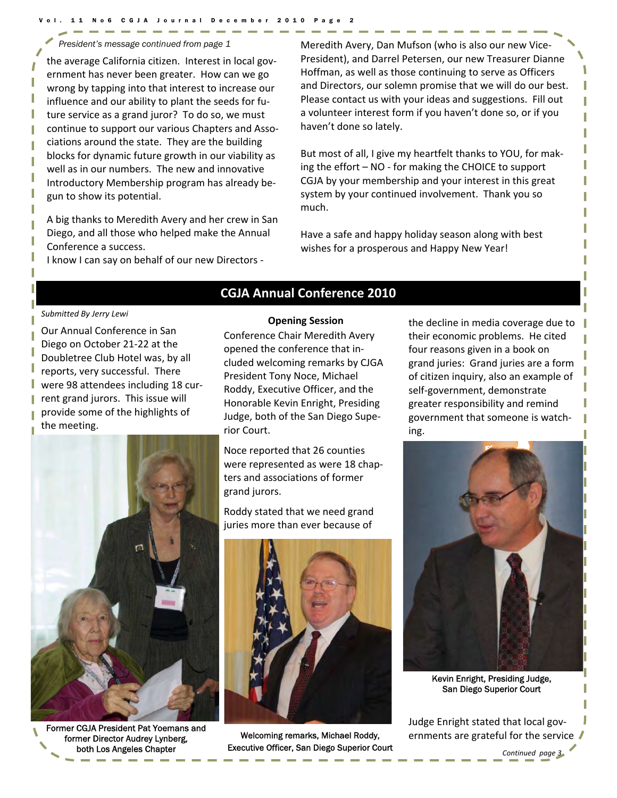the average California citizen. Interest in local gov‐ ernment has never been greater. How can we go wrong by tapping into that interest to increase our influence and our ability to plant the seeds for fu‐ ture service as a grand juror? To do so, we must continue to support our various Chapters and Asso‐ ciations around the state. They are the building blocks for dynamic future growth in our viability as well as in our numbers. The new and innovative Introductory Membership program has already be‐ gun to show its potential.

A big thanks to Meredith Avery and her crew in San Diego, and all those who helped make the Annual Conference a success.

I know I can say on behalf of our new Directors ‐

*President's message continued from page 1* Meredith Avery, Dan Mufson (who is also our new Vice‐ President), and Darrel Petersen, our new Treasurer Dianne Hoffman, as well as those continuing to serve as Officers and Directors, our solemn promise that we will do our best. Please contact us with your ideas and suggestions. Fill out a volunteer interest form if you haven't done so, or if you haven't done so lately.

> But most of all, I give my heartfelt thanks to YOU, for mak‐ ing the effort – NO ‐ for making the CHOICE to support CGJA by your membership and your interest in this great system by your continued involvement. Thank you so much.

Have a safe and happy holiday season along with best wishes for a prosperous and Happy New Year!

#### *Submitted By Jerry Lewi*

Our Annual Conference in San Diego on October 21‐22 at the Doubletree Club Hotel was, by all reports, very successful. There were 98 attendees including 18 current grand jurors. This issue will provide some of the highlights of the meeting.



Former CGJA President Pat Yoemans and former Director Audrey Lynberg, both Los Angeles Chapter

## **CGJA Annual Conference 2010**

**Opening Session**

Conference Chair Meredith Avery opened the conference that in‐ cluded welcoming remarks by CJGA President Tony Noce, Michael Roddy, Executive Officer, and the Honorable Kevin Enright, Presiding Judge, both of the San Diego Supe‐ rior Court.

Noce reported that 26 counties were represented as were 18 chapters and associations of former grand jurors.

Roddy stated that we need grand juries more than ever because of



Welcoming remarks, Michael Roddy, Executive Officer, San Diego Superior Court the decline in media coverage due to their economic problems. He cited four reasons given in a book on grand juries: Grand juries are a form of citizen inquiry, also an example of self‐government, demonstrate greater responsibility and remind government that someone is watch‐ ing.



Kevin Enright, Presiding Judge, San Diego Superior Court

Judge Enright stated that local gov‐ ernments are grateful for the service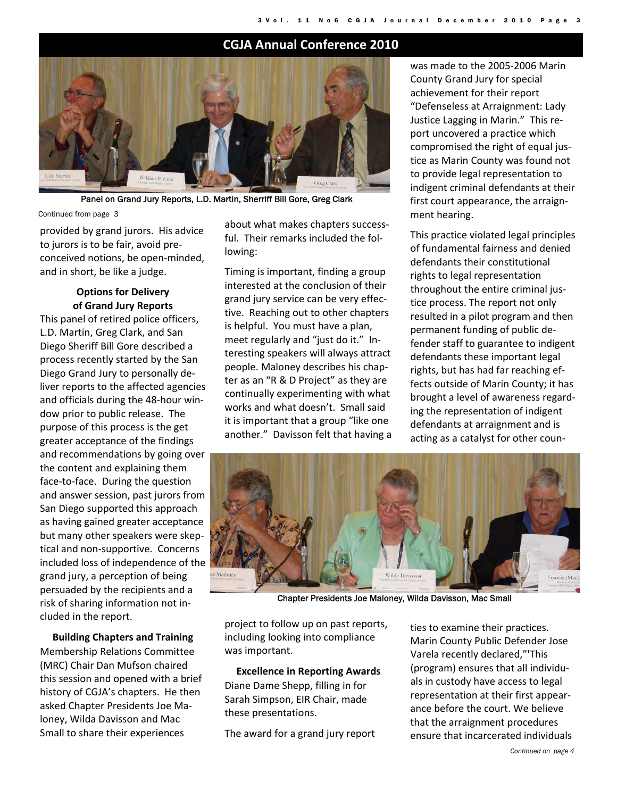## **CGJA Annual Conference 2010**



Panel on Grand Jury Reports, L.D. Martin, Sherriff Bill Gore, Greg Clark

Continued from page 3

provided by grand jurors. His advice to jurors is to be fair, avoid pre‐ conceived notions, be open‐minded, and in short, be like a judge.

#### **Options for Delivery of Grand Jury Reports**

This panel of retired police officers, L.D. Martin, Greg Clark, and San Diego Sheriff Bill Gore described a process recently started by the San Diego Grand Jury to personally de‐ liver reports to the affected agencies and officials during the 48‐hour win‐ dow prior to public release. The purpose of this process is the get greater acceptance of the findings and recommendations by going over the content and explaining them face‐to‐face. During the question and answer session, past jurors from San Diego supported this approach as having gained greater acceptance but many other speakers were skep‐ tical and non‐supportive. Concerns included loss of independence of the grand jury, a perception of being persuaded by the recipients and a risk of sharing information not in‐ cluded in the report.

**Building Chapters and Training** Membership Relations Committee (MRC) Chair Dan Mufson chaired this session and opened with a brief history of CGJA's chapters. He then asked Chapter Presidents Joe Ma‐ loney, Wilda Davisson and Mac Small to share their experiences

about what makes chapters success‐ ful. Their remarks included the fol‐ lowing:

Timing is important, finding a group interested at the conclusion of their grand jury service can be very effec‐ tive. Reaching out to other chapters is helpful. You must have a plan, meet regularly and "just do it." Interesting speakers will always attract people. Maloney describes his chap‐ ter as an "R & D Project" as they are continually experimenting with what works and what doesn't. Small said it is important that a group "like one another." Davisson felt that having a was made to the 2005‐2006 Marin County Grand Jury for special achievement for their report "Defenseless at Arraignment: Lady Justice Lagging in Marin." This re‐ port uncovered a practice which compromised the right of equal jus‐ tice as Marin County was found not to provide legal representation to indigent criminal defendants at their first court appearance, the arraignment hearing.

This practice violated legal principles of fundamental fairness and denied defendants their constitutional rights to legal representation throughout the entire criminal jus‐ tice process. The report not only resulted in a pilot program and then permanent funding of public de‐ fender staff to guarantee to indigent defendants these important legal rights, but has had far reaching ef‐ fects outside of Marin County; it has brought a level of awareness regard‐ ing the representation of indigent defendants at arraignment and is acting as a catalyst for other coun‐



Chapter Presidents Joe Maloney, Wilda Davisson, Mac Small

project to follow up on past reports, including looking into compliance was important.

#### **Excellence in Reporting Awards**

Diane Dame Shepp, filling in for Sarah Simpson, EIR Chair, made these presentations.

The award for a grand jury report

ties to examine their practices. Marin County Public Defender Jose Varela recently declared,"'This (program) ensures that all individu‐ als in custody have access to legal representation at their first appear‐ ance before the court. We believe that the arraignment procedures ensure that incarcerated individuals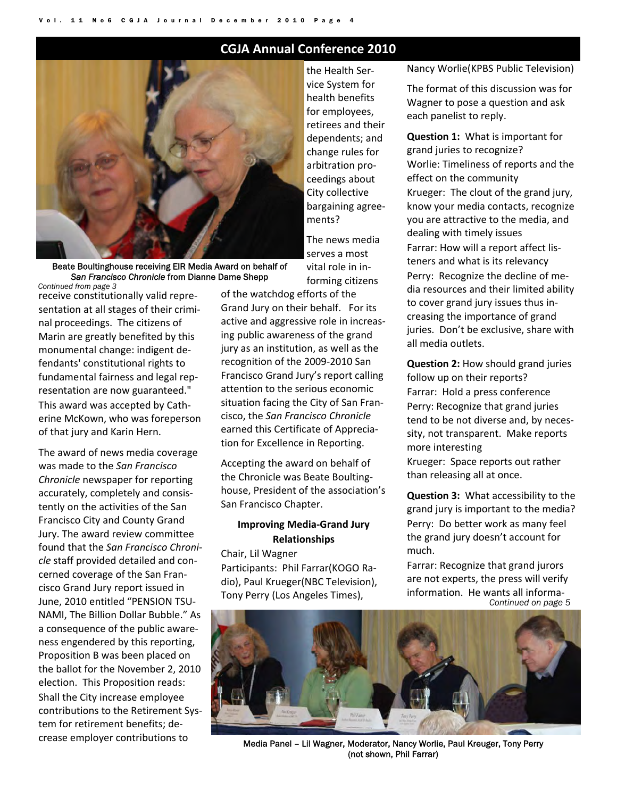## **CGJA Annual Conference 2010**



Beate Boultinghouse receiving EIR Media Award on behalf of *San Francisco Chronicle* from Dianne Dame Shepp

*Continued from page 3*  receive constitutionally valid repre‐ sentation at all stages of their crimi‐ nal proceedings. The citizens of Marin are greatly benefited by this monumental change: indigent de‐ fendants' constitutional rights to fundamental fairness and legal rep‐ resentation are now guaranteed." This award was accepted by Cath‐ erine McKown, who was foreperson of that jury and Karin Hern.

The award of news media coverage was made to the *San Francisco Chronicle* newspaper for reporting accurately, completely and consis‐ tently on the activities of the San Francisco City and County Grand Jury. The award review committee found that the *San Francisco Chroni‐ cle* staff provided detailed and con‐ cerned coverage of the San Fran‐ cisco Grand Jury report issued in June, 2010 entitled "PENSION TSU‐ NAMI, The Billion Dollar Bubble." As a consequence of the public aware‐ ness engendered by this reporting, Proposition B was been placed on the ballot for the November 2, 2010 election. This Proposition reads: Shall the City increase employee contributions to the Retirement Sys‐ tem for retirement benefits; de‐ crease employer contributions to

the Health Ser‐ vice System for health benefits for employees, retirees and their dependents; and change rules for arbitration pro‐ ceedings about City collective bargaining agree‐ ments?

The news media serves a most vital role in in‐ forming citizens

of the watchdog efforts of the Grand Jury on their behalf. For its active and aggressive role in increas‐ ing public awareness of the grand jury as an institution, as well as the recognition of the 2009‐2010 San Francisco Grand Jury's report calling attention to the serious economic situation facing the City of San Fran‐ cisco, the *San Francisco Chronicle* earned this Certificate of Apprecia‐ tion for Excellence in Reporting.

Accepting the award on behalf of the Chronicle was Beate Boulting‐ house, President of the association's San Francisco Chapter.

#### **Improving Media‐Grand Jury Relationships**

Chair, Lil Wagner Participants: Phil Farrar(KOGO Ra‐ dio), Paul Krueger(NBC Television), Tony Perry (Los Angeles Times),

Nancy Worlie(KPBS Public Television)

The format of this discussion was for Wagner to pose a question and ask each panelist to reply.

**Question 1:** What is important for grand juries to recognize? Worlie: Timeliness of reports and the effect on the community Krueger: The clout of the grand jury, know your media contacts, recognize you are attractive to the media, and dealing with timely issues Farrar: How will a report affect lis‐ teners and what is its relevancy Perry: Recognize the decline of me‐ dia resources and their limited ability to cover grand jury issues thus in‐ creasing the importance of grand juries. Don't be exclusive, share with all media outlets.

**Question 2:** How should grand juries follow up on their reports? Farrar: Hold a press conference Perry: Recognize that grand juries tend to be not diverse and, by neces‐ sity, not transparent. Make reports more interesting

Krueger: Space reports out rather than releasing all at once.

**Question 3: What accessibility to the** grand jury is important to the media? Perry: Do better work as many feel the grand jury doesn't account for much.

*Continued on page 5*  Farrar: Recognize that grand jurors are not experts, the press will verify information. He wants all informa‐



Media Panel – Lil Wagner, Moderator, Nancy Worlie, Paul Kreuger, Tony Perry (not shown, Phil Farrar)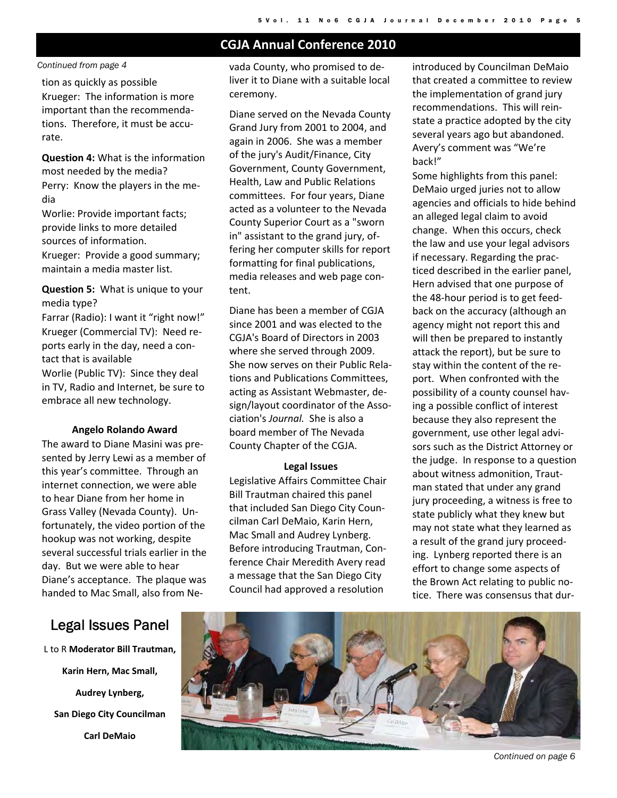## **CGJA Annual Conference 2010**

*Continued from page 4* 

tion as quickly as possible Krueger: The information is more important than the recommenda‐ tions. Therefore, it must be accu‐ rate.

**Question 4:** What is the information most needed by the media? Perry: Know the players in the me‐ dia

Worlie: Provide important facts; provide links to more detailed sources of information.

Krueger: Provide a good summary; maintain a media master list.

**Question 5:** What is unique to your media type?

Farrar (Radio): I want it "right now!" Krueger (Commercial TV): Need re‐ ports early in the day, need a con‐ tact that is available Worlie (Public TV): Since they deal in TV, Radio and Internet, be sure to embrace all new technology.

#### **Angelo Rolando Award**

The award to Diane Masini was pre‐ sented by Jerry Lewi as a member of this year's committee. Through an internet connection, we were able to hear Diane from her home in Grass Valley (Nevada County). Un‐ fortunately, the video portion of the hookup was not working, despite several successful trials earlier in the day. But we were able to hear Diane's acceptance. The plaque was handed to Mac Small, also from Ne‐

vada County, who promised to de‐ liver it to Diane with a suitable local ceremony.

Diane served on the Nevada County Grand Jury from 2001 to 2004, and again in 2006. She was a member of the jury's Audit/Finance, City Government, County Government, Health, Law and Public Relations committees. For four years, Diane acted as a volunteer to the Nevada County Superior Court as a "sworn in" assistant to the grand jury, of‐ fering her computer skills for report formatting for final publications, media releases and web page con‐ tent.

Diane has been a member of CGJA since 2001 and was elected to the CGJA's Board of Directors in 2003 where she served through 2009. She now serves on their Public Rela‐ tions and Publications Committees, acting as Assistant Webmaster, de‐ sign/layout coordinator of the Association's *Journal.* She is also a board member of The Nevada County Chapter of the CGJA.

#### **Legal Issues**

Legislative Affairs Committee Chair Bill Trautman chaired this panel that included San Diego City Coun‐ cilman Carl DeMaio, Karin Hern, Mac Small and Audrey Lynberg. Before introducing Trautman, Con‐ ference Chair Meredith Avery read a message that the San Diego City Council had approved a resolution

introduced by Councilman DeMaio that created a committee to review the implementation of grand jury recommendations. This will rein‐ state a practice adopted by the city several years ago but abandoned. Avery's comment was "We're back!"

Some highlights from this panel: DeMaio urged juries not to allow agencies and officials to hide behind an alleged legal claim to avoid change. When this occurs, check the law and use your legal advisors if necessary. Regarding the prac‐ ticed described in the earlier panel, Hern advised that one purpose of the 48‐hour period is to get feed‐ back on the accuracy (although an agency might not report this and will then be prepared to instantly attack the report), but be sure to stay within the content of the re‐ port. When confronted with the possibility of a county counsel hav‐ ing a possible conflict of interest because they also represent the government, use other legal advi‐ sors such as the District Attorney or the judge. In response to a question about witness admonition, Traut‐ man stated that under any grand jury proceeding, a witness is free to state publicly what they knew but may not state what they learned as a result of the grand jury proceed‐ ing. Lynberg reported there is an effort to change some aspects of the Brown Act relating to public no‐ tice. There was consensus that dur‐

## Legal Issues Panel

L to R **Moderator Bill Trautman, Karin Hern, Mac Small, Audrey Lynberg, San Diego City Councilman Carl DeMaio** 

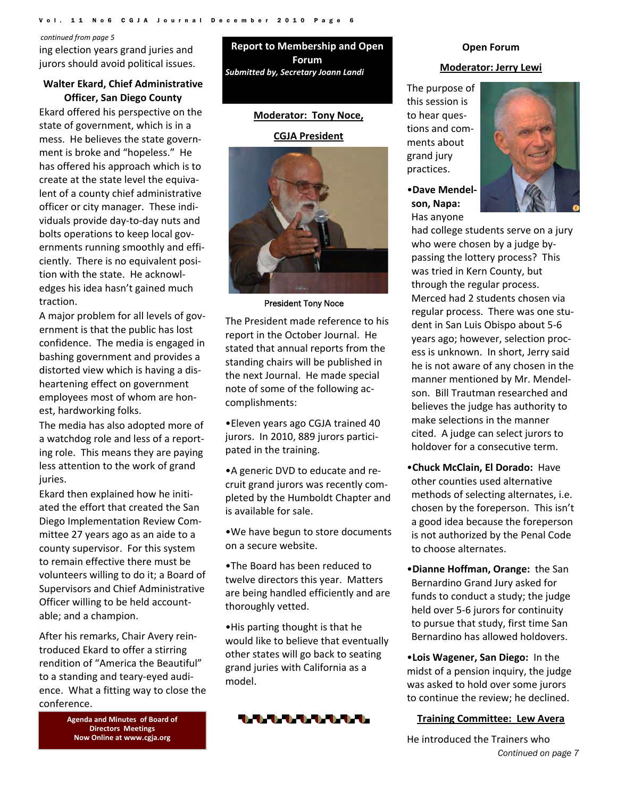#### Vol. 11 No6 CGJA Journal December 2010

#### *continued from page 5*

ing election years grand juries and jurors should avoid political issues.

#### **Walter Ekard, Chief Administrative Officer, San Diego County**

Ekard offered his perspective on the state of government, which is in a mess. He believes the state govern‐ ment is broke and "hopeless." He has offered his approach which is to create at the state level the equiva‐ lent of a county chief administrative officer or city manager. These indi‐ viduals provide day‐to‐day nuts and bolts operations to keep local gov‐ ernments running smoothly and effi‐ ciently. There is no equivalent posi‐ tion with the state. He acknowl‐ edges his idea hasn't gained much traction.

A major problem for all levels of gov‐ ernment is that the public has lost confidence. The media is engaged in bashing government and provides a distorted view which is having a dis‐ heartening effect on government employees most of whom are hon‐ est, hardworking folks.

The media has also adopted more of a watchdog role and less of a report‐ ing role. This means they are paying less attention to the work of grand juries.

Ekard then explained how he initi‐ ated the effort that created the San Diego Implementation Review Com‐ mittee 27 years ago as an aide to a county supervisor. For this system to remain effective there must be volunteers willing to do it; a Board of Supervisors and Chief Administrative Officer willing to be held account‐ able; and a champion.

After his remarks, Chair Avery rein‐ troduced Ekard to offer a stirring rendition of "America the Beautiful" to a standing and teary‐eyed audi‐ ence. What a fitting way to close the conference.

> **Agenda and Minutes of Board of Directors Meetings Now Online at www.cgja.org**

**Report to Membership and Open Forum** *Submitted by, Secretary Joann Landi*

#### **Moderator: Tony Noce,**

#### **CGJA President**



President Tony Noce

The President made reference to his report in the October Journal. He stated that annual reports from the standing chairs will be published in the next Journal. He made special note of some of the following ac‐ complishments:

•Eleven years ago CGJA trained 40 jurors. In 2010, 889 jurors partici‐ pated in the training.

•A generic DVD to educate and re‐ cruit grand jurors was recently com‐ pleted by the Humboldt Chapter and is available for sale.

•We have begun to store documents on a secure website.

•The Board has been reduced to twelve directors this year. Matters are being handled efficiently and are thoroughly vetted.

•His parting thought is that he would like to believe that eventually other states will go back to seating grand juries with California as a model.



#### **Open Forum**

#### **Moderator: Jerry Lewi**

The purpose of this session is to hear questions and com‐ ments about grand jury practices.

•**Dave Mendel‐ son, Napa:**  Has anyone



had college students serve on a jury who were chosen by a judge by‐ passing the lottery process? This was tried in Kern County, but through the regular process. Merced had 2 students chosen via regular process. There was one stu‐ dent in San Luis Obispo about 5‐6 years ago; however, selection proc‐ ess is unknown. In short, Jerry said he is not aware of any chosen in the manner mentioned by Mr. Mendel‐ son. Bill Trautman researched and believes the judge has authority to make selections in the manner cited. A judge can select jurors to holdover for a consecutive term.

- •**Chuck McClain, El Dorado:** Have other counties used alternative methods of selecting alternates, i.e. chosen by the foreperson. This isn't a good idea because the foreperson is not authorized by the Penal Code to choose alternates.
- •**Dianne Hoffman, Orange:** the San Bernardino Grand Jury asked for funds to conduct a study; the judge held over 5‐6 jurors for continuity to pursue that study, first time San Bernardino has allowed holdovers.
- •**Lois Wagener, San Diego:** In the midst of a pension inquiry, the judge was asked to hold over some jurors to continue the review; he declined.

#### **Training Committee: Lew Avera**

*Continued on page 7*  He introduced the Trainers who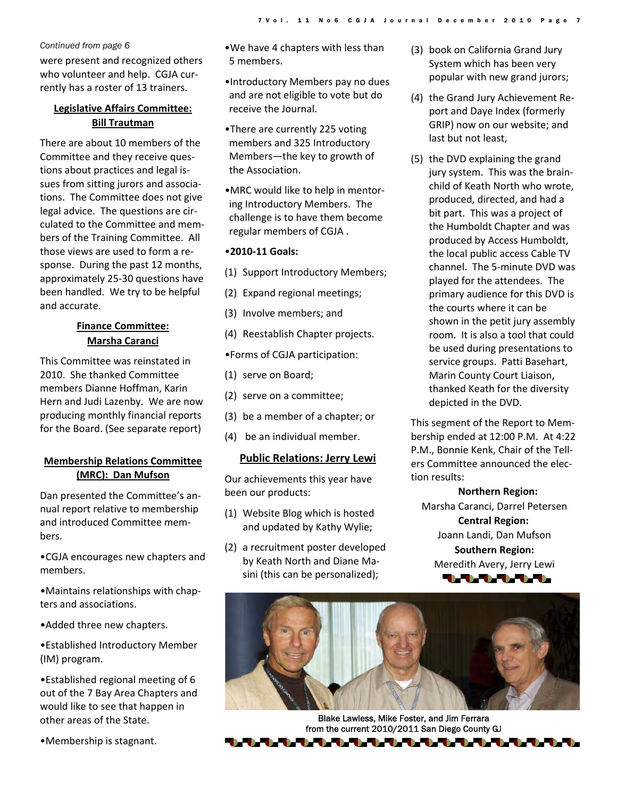#### *Continued from page 6*

were present and recognized others who volunteer and help. CGJA currently has a roster of 13 trainers.

#### **Legislative Affairs Committee: Bill Trautman**

There are about 10 members of the Committee and they receive ques‐ tions about practices and legal is‐ sues from sitting jurors and associa‐ tions. The Committee does not give legal advice. The questions are cir‐ culated to the Committee and mem‐ bers of the Training Committee. All those views are used to form a re‐ sponse. During the past 12 months, approximately 25‐30 questions have been handled. We try to be helpful and accurate.

## **Finance Committee: Marsha Caranci**

This Committee was reinstated in 2010. She thanked Committee members Dianne Hoffman, Karin Hern and Judi Lazenby. We are now producing monthly financial reports for the Board. (See separate report)

#### **Membership Relations Committee (MRC): Dan Mufson**

Dan presented the Committee's an‐ nual report relative to membership and introduced Committee mem‐ bers.

•CGJA encourages new chapters and members.

•Maintains relationships with chap‐ ters and associations.

•Added three new chapters.

•Established Introductory Member (IM) program.

•Established regional meeting of 6 out of the 7 Bay Area Chapters and would like to see that happen in other areas of the State.

•Membership is stagnant.

•We have 4 chapters with less than 5 members.

- •Introductory Members pay no dues and are not eligible to vote but do receive the Journal.
- •There are currently 225 voting members and 325 Introductory Members—the key to growth of the Association.
- •MRC would like to help in mentor‐ ing Introductory Members. The challenge is to have them become regular members of CGJA .

#### •**2010‐11 Goals:**

- (1) Support Introductory Members;
- (2) Expand regional meetings;
- (3) Involve members; and
- (4) Reestablish Chapter projects.

•Forms of CGJA participation:

- (1) serve on Board;
- (2) serve on a committee;
- (3) be a member of a chapter; or
- (4) be an individual member.

#### **Public Relations: Jerry Lewi**

Our achievements this year have been our products:

- (1) Website Blog which is hosted and updated by Kathy Wylie;
- (2) a recruitment poster developed by Keath North and Diane Ma‐ sini (this can be personalized);
- (3) book on California Grand Jury System which has been very popular with new grand jurors;
- (4) the Grand Jury Achievement Re‐ port and Daye Index (formerly GRIP) now on our website; and last but not least,
- (5) the DVD explaining the grand jury system. This was the brain‐ child of Keath North who wrote, produced, directed, and had a bit part. This was a project of the Humboldt Chapter and was produced by Access Humboldt, the local public access Cable TV channel. The 5‐minute DVD was played for the attendees. The primary audience for this DVD is the courts where it can be shown in the petit jury assembly room. It is also a tool that could be used during presentations to service groups. Patti Basehart, Marin County Court Liaison, thanked Keath for the diversity depicted in the DVD.

This segment of the Report to Mem‐ bership ended at 12:00 P.M. At 4:22 P.M., Bonnie Kenk, Chair of the Tell‐ ers Committee announced the elec‐ tion results:

**Northern Region:**  Marsha Caranci, Darrel Petersen **Central Region:** Joann Landi, Dan Mufson **Southern Region:** Meredith Avery, Jerry Lewi 1111111



Blake Lawless, Mike Foster, and Jim Ferrara from the current 2010/2011 San Diego County GJ

▚▜▖▜▖▜▖▜▖▜▖▜▖▜▖▜▖▜▖▜▖▜▖▜▖▜▖▜▖▜▖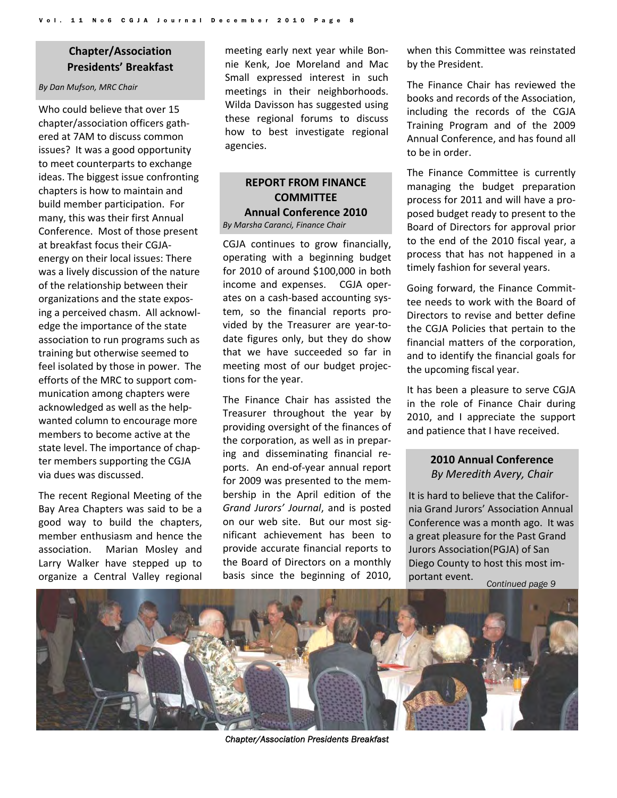## **Chapter/Association Presidents' Breakfast**

#### *By Dan Mufson, MRC Chair*

Who could believe that over 15 chapter/association officers gath‐ ered at 7AM to discuss common issues? It was a good opportunity to meet counterparts to exchange ideas. The biggest issue confronting chapters is how to maintain and build member participation. For many, this was their first Annual Conference. Most of those present at breakfast focus their CGJA‐ energy on their local issues: There was a lively discussion of the nature of the relationship between their organizations and the state expos‐ ing a perceived chasm. All acknowl‐ edge the importance of the state association to run programs such as training but otherwise seemed to feel isolated by those in power. The efforts of the MRC to support com‐ munication among chapters were acknowledged as well as the help‐ wanted column to encourage more members to become active at the state level. The importance of chap‐ ter members supporting the CGJA via dues was discussed.

The recent Regional Meeting of the Bay Area Chapters was said to be a good way to build the chapters, member enthusiasm and hence the association. Marian Mosley and Larry Walker have stepped up to organize a Central Valley regional meeting early next year while Bon‐ nie Kenk, Joe Moreland and Mac Small expressed interest in such meetings in their neighborhoods. Wilda Davisson has suggested using these regional forums to discuss how to best investigate regional agencies.

#### **REPORT FROM FINANCE COMMITTEE Annual Conference 2010** *By Marsha Caranci, Finance Chair*

CGJA continues to grow financially, operating with a beginning budget for 2010 of around \$100,000 in both income and expenses. CGJA oper‐ ates on a cash‐based accounting sys‐ tem, so the financial reports pro‐ vided by the Treasurer are year‐to‐ date figures only, but they do show that we have succeeded so far in meeting most of our budget projec‐ tions for the year.

The Finance Chair has assisted the Treasurer throughout the year by providing oversight of the finances of the corporation, as well as in prepar‐ ing and disseminating financial re‐ ports. An end‐of‐year annual report for 2009 was presented to the mem‐ bership in the April edition of the *Grand Jurors' Journal*, and is posted on our web site. But our most significant achievement has been to provide accurate financial reports to the Board of Directors on a monthly basis since the beginning of 2010, when this Committee was reinstated by the President.

The Finance Chair has reviewed the books and records of the Association, including the records of the CGJA Training Program and of the 2009 Annual Conference, and has found all to be in order.

The Finance Committee is currently managing the budget preparation process for 2011 and will have a pro‐ posed budget ready to present to the Board of Directors for approval prior to the end of the 2010 fiscal year, a process that has not happened in a timely fashion for several years.

Going forward, the Finance Commit‐ tee needs to work with the Board of Directors to revise and better define the CGJA Policies that pertain to the financial matters of the corporation, and to identify the financial goals for the upcoming fiscal year.

It has been a pleasure to serve CGJA in the role of Finance Chair during 2010, and I appreciate the support and patience that I have received.

## **2010 Annual Conference**  *By Meredith Avery, Chair*

It is hard to believe that the Califor‐ nia Grand Jurors' Association Annual Conference was a month ago. It was a great pleasure for the Past Grand Jurors Association(PGJA) of San Diego County to host this most im‐ portant event. *Continued page 9* 

*Chapter/Association Presidents Breakfast*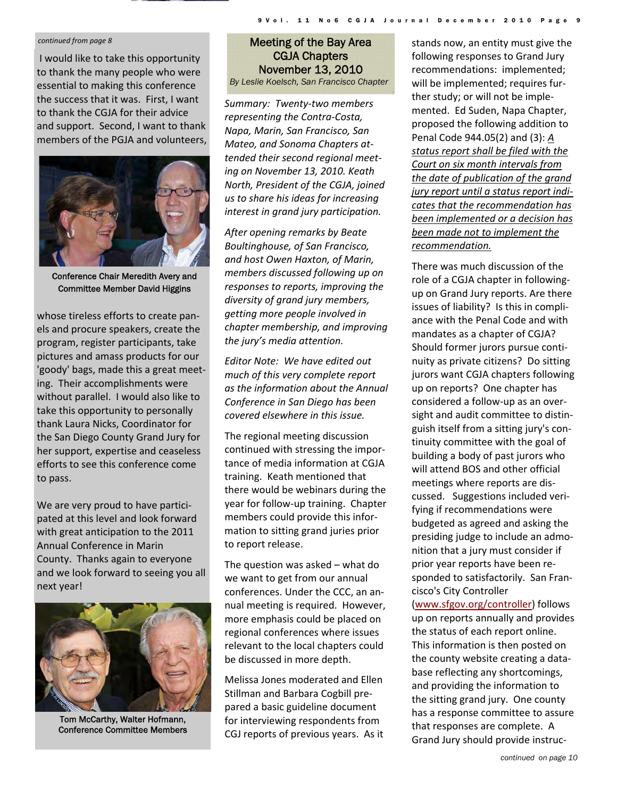#### *continued from page 8*

I would like to take this opportunity to thank the many people who were essential to making this conference the success that it was. First, I want to thank the CGJA for their advice and support. Second, I want to thank members of the PGJA and volunteers,



Conference Chair Meredith Avery and Committee Member David Higgins

whose tireless efforts to create pan‐ els and procure speakers, create the program, register participants, take pictures and amass products for our 'goody' bags, made this a great meet‐ ing. Their accomplishments were without parallel. I would also like to take this opportunity to personally thank Laura Nicks, Coordinator for the San Diego County Grand Jury for her support, expertise and ceaseless efforts to see this conference come to pass.

We are very proud to have participated at this level and look forward with great anticipation to the 2011 Annual Conference in Marin County. Thanks again to everyone and we look forward to seeing you all next year!



Tom McCarthy, Walter Hofmann, Conference Committee Members

## Meeting of the Bay Area CGJA Chapters November 13, 2010

9 Vol. 11 No6 CGJA Journal December 2010

*By Leslie Koelsch, San Francisco Chapter* 

*Summary: Twenty‐two members representing the Contra‐Costa, Napa, Marin, San Francisco, San Mateo, and Sonoma Chapters at‐ tended their second regional meet‐ ing on November 13, 2010. Keath North, President of the CGJA, joined us to share his ideas for increasing interest in grand jury participation.*

*After opening remarks by Beate Boultinghouse, of San Francisco, and host Owen Haxton, of Marin, members discussed following up on responses to reports, improving the diversity of grand jury members, getting more people involved in chapter membership, and improving the jury's media attention.*

*Editor Note: We have edited out much of this very complete report as the information about the Annual Conference in San Diego has been covered elsewhere in this issue.*

The regional meeting discussion continued with stressing the impor‐ tance of media information at CGJA training. Keath mentioned that there would be webinars during the year for follow‐up training. Chapter members could provide this infor‐ mation to sitting grand juries prior to report release.

The question was asked – what do we want to get from our annual conferences. Under the CCC, an an‐ nual meeting is required. However, more emphasis could be placed on regional conferences where issues relevant to the local chapters could be discussed in more depth.

Melissa Jones moderated and Ellen Stillman and Barbara Cogbill pre‐ pared a basic guideline document for interviewing respondents from CGJ reports of previous years. As it stands now, an entity must give the following responses to Grand Jury recommendations: implemented; will be implemented; requires fur‐ ther study; or will not be imple‐ mented. Ed Suden, Napa Chapter, proposed the following addition to Penal Code 944.05(2) and (3): *A status report shall be filed with the Court on six month intervals from the date of publication of the grand jury report until a status report indi‐ cates that the recommendation has been implemented or a decision has been made not to implement the recommendation.*

There was much discussion of the role of a CGJA chapter in following‐ up on Grand Jury reports. Are there issues of liability? Is this in compli‐ ance with the Penal Code and with mandates as a chapter of CGJA? Should former jurors pursue conti‐ nuity as private citizens? Do sitting jurors want CGJA chapters following up on reports? One chapter has considered a follow‐up as an over‐ sight and audit committee to distin‐ guish itself from a sitting jury's con‐ tinuity committee with the goal of building a body of past jurors who will attend BOS and other official meetings where reports are dis‐ cussed. Suggestions included veri‐ fying if recommendations were budgeted as agreed and asking the presiding judge to include an admo‐ nition that a jury must consider if prior year reports have been re‐ sponded to satisfactorily. San Fran‐ cisco's City Controller

(www.sfgov.org/controller) follows up on reports annually and provides the status of each report online. This information is then posted on the county website creating a data‐ base reflecting any shortcomings, and providing the information to the sitting grand jury. One county has a response committee to assure that responses are complete. A Grand Jury should provide instruc‐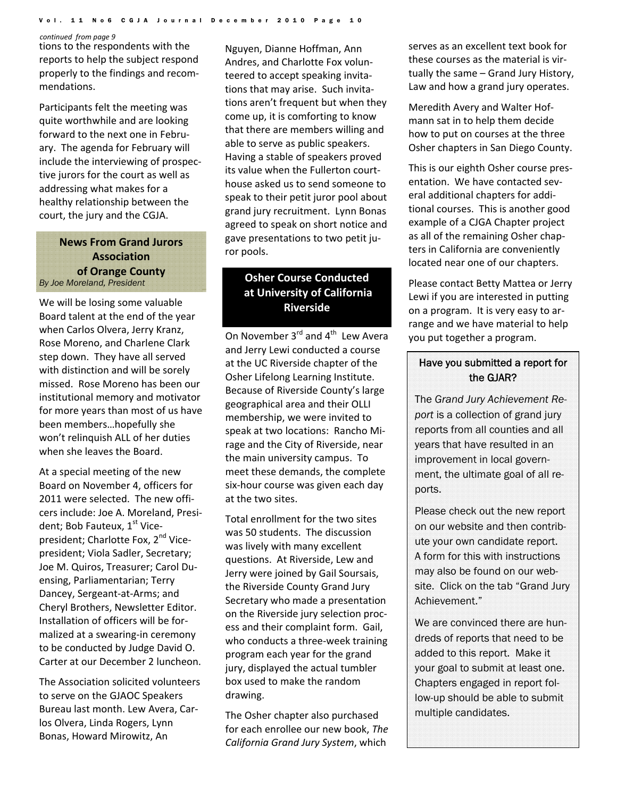#### Vol. 11 No6 CGJA Journal December 2010 Page 10

#### *continued from page 9*

tions to the respondents with the reports to help the subject respond properly to the findings and recom‐ mendations.

Participants felt the meeting was quite worthwhile and are looking forward to the next one in Febru‐ ary. The agenda for February will include the interviewing of prospec‐ tive jurors for the court as well as addressing what makes for a healthy relationship between the court, the jury and the CGJA.

#### **News From Grand Jurors Association of Orange County** *By Joe Moreland, President*

We will be losing some valuable Board talent at the end of the year when Carlos Olvera, Jerry Kranz, Rose Moreno, and Charlene Clark step down. They have all served with distinction and will be sorely missed. Rose Moreno has been our institutional memory and motivator for more years than most of us have been members…hopefully she won't relinquish ALL of her duties when she leaves the Board.

At a special meeting of the new Board on November 4, officers for 2011 were selected. The new offi‐ cers include: Joe A. Moreland, Presi‐ dent; Bob Fauteux, 1<sup>st</sup> Vicepresident; Charlotte Fox, 2<sup>nd</sup> Vicepresident; Viola Sadler, Secretary; Joe M. Quiros, Treasurer; Carol Du‐ ensing, Parliamentarian; Terry Dancey, Sergeant‐at‐Arms; and Cheryl Brothers, Newsletter Editor. Installation of officers will be for‐ malized at a swearing‐in ceremony to be conducted by Judge David O. Carter at our December 2 luncheon.

The Association solicited volunteers to serve on the GJAOC Speakers Bureau last month. Lew Avera, Car‐ los Olvera, Linda Rogers, Lynn Bonas, Howard Mirowitz, An

Nguyen, Dianne Hoffman, Ann Andres, and Charlotte Fox volun‐ teered to accept speaking invita‐ tions that may arise. Such invita‐ tions aren't frequent but when they come up, it is comforting to know that there are members willing and able to serve as public speakers. Having a stable of speakers proved its value when the Fullerton court‐ house asked us to send someone to speak to their petit juror pool about grand jury recruitment. Lynn Bonas agreed to speak on short notice and gave presentations to two petit ju‐ ror pools.

## **Osher Course Conducted at University of California Riverside**

On November  $3<sup>rd</sup>$  and  $4<sup>th</sup>$  Lew Avera and Jerry Lewi conducted a course at the UC Riverside chapter of the Osher Lifelong Learning Institute. Because of Riverside County's large geographical area and their OLLI membership, we were invited to speak at two locations: Rancho Mi‐ rage and the City of Riverside, near the main university campus. To meet these demands, the complete six‐hour course was given each day at the two sites.

Total enrollment for the two sites was 50 students. The discussion was lively with many excellent questions. At Riverside, Lew and Jerry were joined by Gail Soursais, the Riverside County Grand Jury Secretary who made a presentation on the Riverside jury selection proc‐ ess and their complaint form. Gail, who conducts a three-week training program each year for the grand jury, displayed the actual tumbler box used to make the random drawing.

The Osher chapter also purchased for each enrollee our new book, *The California Grand Jury System*, which

serves as an excellent text book for these courses as the material is vir‐ tually the same – Grand Jury History, Law and how a grand jury operates.

Meredith Avery and Walter Hof‐ mann sat in to help them decide how to put on courses at the three Osher chapters in San Diego County.

This is our eighth Osher course pres‐ entation. We have contacted several additional chapters for addi‐ tional courses. This is another good example of a CJGA Chapter project as all of the remaining Osher chap‐ ters in California are conveniently located near one of our chapters.

Please contact Betty Mattea or Jerry Lewi if you are interested in putting on a program. It is very easy to ar‐ range and we have material to help you put together a program.

#### Have you submitted a report for the GJAR?

The *Grand Jury Achievement Report* is a collection of grand jury reports from all counties and all years that have resulted in an improvement in local government, the ultimate goal of all reports.

Please check out the new report on our website and then contribute your own candidate report. A form for this with instructions may also be found on our website. Click on the tab "Grand Jury Achievement."

We are convinced there are hundreds of reports that need to be added to this report. Make it your goal to submit at least one. Chapters engaged in report follow-up should be able to submit multiple candidates.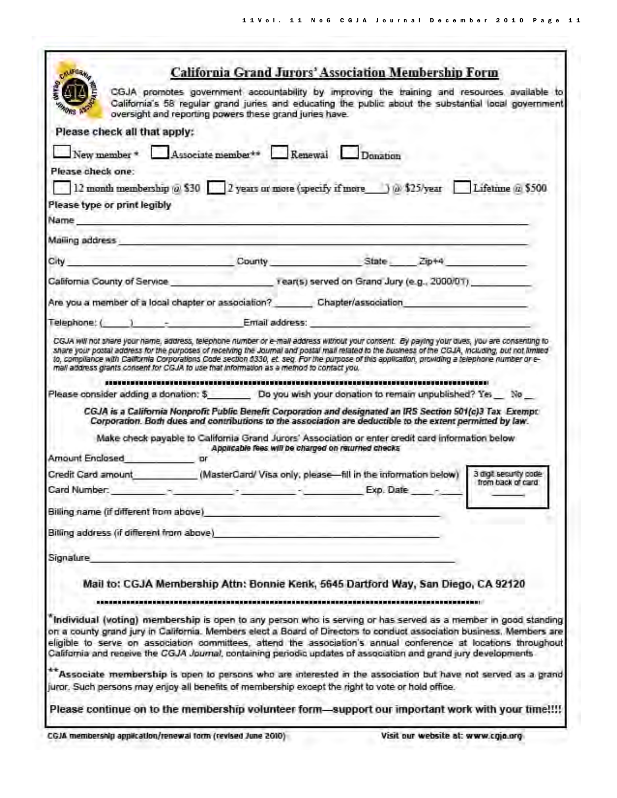Ť

| <b>CALFORM</b>                             | California Grand Jurors' Association Membership Form                                                                                                                                                                                                                                                                                                                                                                                                                           |                                                    |                       |
|--------------------------------------------|--------------------------------------------------------------------------------------------------------------------------------------------------------------------------------------------------------------------------------------------------------------------------------------------------------------------------------------------------------------------------------------------------------------------------------------------------------------------------------|----------------------------------------------------|-----------------------|
|                                            | CGJA promotes government accountability by improving the training and resources available to<br>California's 58 regular grand juries and educating the public about the substantial local government<br>oversight and reporting powers these grand juries have.                                                                                                                                                                                                                |                                                    |                       |
| Please check all that apply:               |                                                                                                                                                                                                                                                                                                                                                                                                                                                                                |                                                    |                       |
|                                            | New member * Associate member ** Renewal Donation                                                                                                                                                                                                                                                                                                                                                                                                                              |                                                    |                       |
| Please check one:                          |                                                                                                                                                                                                                                                                                                                                                                                                                                                                                |                                                    |                       |
|                                            | 12 month membership @ \$30 2 years or more (specify if more ) @ \$25/year Lifetime @ \$500                                                                                                                                                                                                                                                                                                                                                                                     |                                                    |                       |
| Please type or print legibly               |                                                                                                                                                                                                                                                                                                                                                                                                                                                                                |                                                    |                       |
| Name and the second contract of the second |                                                                                                                                                                                                                                                                                                                                                                                                                                                                                |                                                    |                       |
| Mailing address                            |                                                                                                                                                                                                                                                                                                                                                                                                                                                                                |                                                    |                       |
|                                            | City County State Zip+4                                                                                                                                                                                                                                                                                                                                                                                                                                                        |                                                    |                       |
|                                            | California County of Service entering the state of the rearrs) served on Grand Jury (e.g., 2000/01).                                                                                                                                                                                                                                                                                                                                                                           |                                                    |                       |
|                                            |                                                                                                                                                                                                                                                                                                                                                                                                                                                                                |                                                    |                       |
|                                            | Are you a member of a local chapter or association? _________ Chapter/association                                                                                                                                                                                                                                                                                                                                                                                              |                                                    |                       |
|                                            | Telephone: ( ) - Email address:                                                                                                                                                                                                                                                                                                                                                                                                                                                |                                                    |                       |
|                                            | Please consider adding a donation: \$ Do you wish your donation to remain unpublished? Yes No<br>CGJA is a California Nonprofit Public Benefit Corporation and designated an IRS Section 501(c)3 Tax Exempt:<br>Corporation. Both dues and contributions to the association are deductible to the extent permitted by law.<br>Make check payable to California Grand Jurors' Association or enter credit card information below                                                |                                                    |                       |
| Amount Enclosed or                         |                                                                                                                                                                                                                                                                                                                                                                                                                                                                                | Applicable fees will be charged on returned checks |                       |
|                                            | Credit Card amount (MasterCard/Visa only, please-fill in the information below)                                                                                                                                                                                                                                                                                                                                                                                                |                                                    | 3 digit security code |
|                                            | Card Number: The Card Number of the Card Number of the Card Number of the Card of the Card of the Card of the Card of the Card of the Card of the Card of the Card of the Card of the Card of the Card of the Card of the Card                                                                                                                                                                                                                                                 | Exp. Date -                                        | from back of card     |
| Billing name (if different from above)     |                                                                                                                                                                                                                                                                                                                                                                                                                                                                                |                                                    |                       |
| Bitling address (if different from above)  |                                                                                                                                                                                                                                                                                                                                                                                                                                                                                |                                                    |                       |
|                                            |                                                                                                                                                                                                                                                                                                                                                                                                                                                                                |                                                    |                       |
| Signature                                  |                                                                                                                                                                                                                                                                                                                                                                                                                                                                                |                                                    |                       |
|                                            | Mail to: CGJA Membership Attn: Bonnie Kenk, 5645 Dartford Way, San Diego, CA 92120                                                                                                                                                                                                                                                                                                                                                                                             |                                                    |                       |
|                                            |                                                                                                                                                                                                                                                                                                                                                                                                                                                                                |                                                    |                       |
|                                            | "Individual (voting) membership is open to any person who is serving or has served as a member in good standing<br>on a county grand jury in California. Members elect a Board of Directors to conduct association business. Members are<br>eligible to serve on association committees, attend the association's annual conference at locations throughout<br>California and receive the CGJA Journal, containing periodic updates of association and grand jury developments |                                                    |                       |
|                                            | Associate membership is open to persons who are interested in the association but have not served as a grand                                                                                                                                                                                                                                                                                                                                                                   |                                                    |                       |
|                                            | juror. Such persons may enjoy all benefits of membership except the right to vote or hold office.                                                                                                                                                                                                                                                                                                                                                                              |                                                    |                       |
|                                            | Please continue on to the membership volunteer form—support our important work with your time!!!!                                                                                                                                                                                                                                                                                                                                                                              |                                                    |                       |
|                                            |                                                                                                                                                                                                                                                                                                                                                                                                                                                                                |                                                    |                       |

CGJA membership application/renewal form (revised June 2010)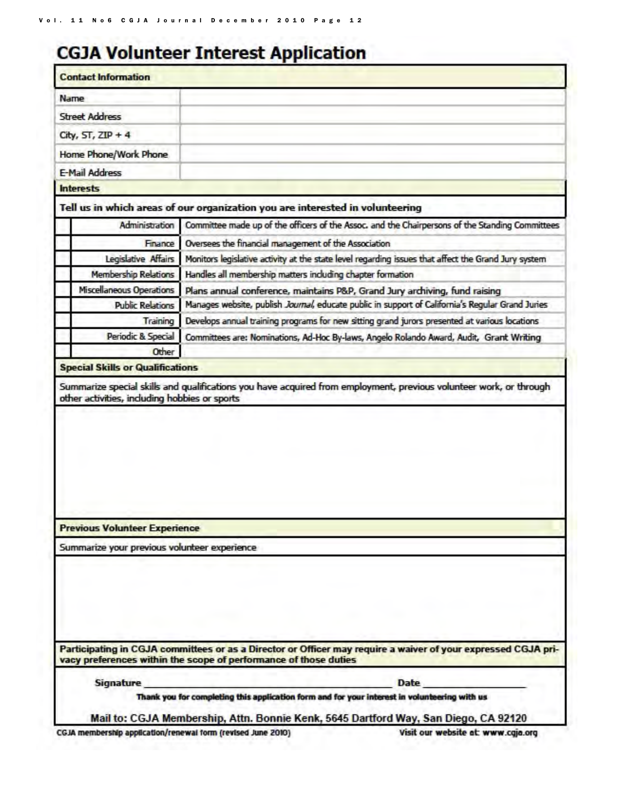# **CGJA Volunteer Interest Application**

| <b>Street Address</b><br>City, $ST$ , $ZIP + 4$<br>Home Phone/Work Phone<br>E-Mail Address<br><b>Interests</b><br>Administration<br>Finance<br>Legislative Affairs<br><b>Membership Relations</b><br>Miscellaneous Operations<br><b>Public Relations</b><br>Training<br>Periodic & Special<br>Other<br><b>Special Skills or Qualifications</b><br>other activities, including hobbies or sports | Tell us in which areas of our organization you are interested in volunteering<br>Committee made up of the officers of the Assoc. and the Chairpersons of the Standing Committees<br>Oversees the financial management of the Association<br>Monitors legislative activity at the state level regarding issues that affect the Grand Jury system<br>Handles all membership matters including chapter formation<br>Plans annual conference, maintains P&P, Grand Jury archiving, fund raising<br>Manages website, publish Journal, educate public in support of California's Regular Grand Juries<br>Develops annual training programs for new sitting grand jurors presented at various locations<br>Committees are: Nominations, Ad-Hoc By-laws, Angelo Rolando Award, Audit, Grant Writing<br>Summarize special skills and qualifications you have acquired from employment, previous volunteer work, or through |
|-------------------------------------------------------------------------------------------------------------------------------------------------------------------------------------------------------------------------------------------------------------------------------------------------------------------------------------------------------------------------------------------------|-------------------------------------------------------------------------------------------------------------------------------------------------------------------------------------------------------------------------------------------------------------------------------------------------------------------------------------------------------------------------------------------------------------------------------------------------------------------------------------------------------------------------------------------------------------------------------------------------------------------------------------------------------------------------------------------------------------------------------------------------------------------------------------------------------------------------------------------------------------------------------------------------------------------|
|                                                                                                                                                                                                                                                                                                                                                                                                 |                                                                                                                                                                                                                                                                                                                                                                                                                                                                                                                                                                                                                                                                                                                                                                                                                                                                                                                   |
|                                                                                                                                                                                                                                                                                                                                                                                                 |                                                                                                                                                                                                                                                                                                                                                                                                                                                                                                                                                                                                                                                                                                                                                                                                                                                                                                                   |
|                                                                                                                                                                                                                                                                                                                                                                                                 |                                                                                                                                                                                                                                                                                                                                                                                                                                                                                                                                                                                                                                                                                                                                                                                                                                                                                                                   |
|                                                                                                                                                                                                                                                                                                                                                                                                 |                                                                                                                                                                                                                                                                                                                                                                                                                                                                                                                                                                                                                                                                                                                                                                                                                                                                                                                   |
|                                                                                                                                                                                                                                                                                                                                                                                                 |                                                                                                                                                                                                                                                                                                                                                                                                                                                                                                                                                                                                                                                                                                                                                                                                                                                                                                                   |
|                                                                                                                                                                                                                                                                                                                                                                                                 |                                                                                                                                                                                                                                                                                                                                                                                                                                                                                                                                                                                                                                                                                                                                                                                                                                                                                                                   |
|                                                                                                                                                                                                                                                                                                                                                                                                 |                                                                                                                                                                                                                                                                                                                                                                                                                                                                                                                                                                                                                                                                                                                                                                                                                                                                                                                   |
|                                                                                                                                                                                                                                                                                                                                                                                                 |                                                                                                                                                                                                                                                                                                                                                                                                                                                                                                                                                                                                                                                                                                                                                                                                                                                                                                                   |
|                                                                                                                                                                                                                                                                                                                                                                                                 |                                                                                                                                                                                                                                                                                                                                                                                                                                                                                                                                                                                                                                                                                                                                                                                                                                                                                                                   |
|                                                                                                                                                                                                                                                                                                                                                                                                 |                                                                                                                                                                                                                                                                                                                                                                                                                                                                                                                                                                                                                                                                                                                                                                                                                                                                                                                   |
|                                                                                                                                                                                                                                                                                                                                                                                                 |                                                                                                                                                                                                                                                                                                                                                                                                                                                                                                                                                                                                                                                                                                                                                                                                                                                                                                                   |
|                                                                                                                                                                                                                                                                                                                                                                                                 |                                                                                                                                                                                                                                                                                                                                                                                                                                                                                                                                                                                                                                                                                                                                                                                                                                                                                                                   |
|                                                                                                                                                                                                                                                                                                                                                                                                 |                                                                                                                                                                                                                                                                                                                                                                                                                                                                                                                                                                                                                                                                                                                                                                                                                                                                                                                   |
|                                                                                                                                                                                                                                                                                                                                                                                                 |                                                                                                                                                                                                                                                                                                                                                                                                                                                                                                                                                                                                                                                                                                                                                                                                                                                                                                                   |
|                                                                                                                                                                                                                                                                                                                                                                                                 |                                                                                                                                                                                                                                                                                                                                                                                                                                                                                                                                                                                                                                                                                                                                                                                                                                                                                                                   |
|                                                                                                                                                                                                                                                                                                                                                                                                 |                                                                                                                                                                                                                                                                                                                                                                                                                                                                                                                                                                                                                                                                                                                                                                                                                                                                                                                   |
|                                                                                                                                                                                                                                                                                                                                                                                                 |                                                                                                                                                                                                                                                                                                                                                                                                                                                                                                                                                                                                                                                                                                                                                                                                                                                                                                                   |
| <b>Previous Volunteer Experience</b>                                                                                                                                                                                                                                                                                                                                                            |                                                                                                                                                                                                                                                                                                                                                                                                                                                                                                                                                                                                                                                                                                                                                                                                                                                                                                                   |
| Summarize your previous volunteer experience                                                                                                                                                                                                                                                                                                                                                    |                                                                                                                                                                                                                                                                                                                                                                                                                                                                                                                                                                                                                                                                                                                                                                                                                                                                                                                   |
|                                                                                                                                                                                                                                                                                                                                                                                                 | Participating in CGJA committees or as a Director or Officer may require a waiver of your expressed CGJA pri-                                                                                                                                                                                                                                                                                                                                                                                                                                                                                                                                                                                                                                                                                                                                                                                                     |
|                                                                                                                                                                                                                                                                                                                                                                                                 | vacy preferences within the scope of performance of those duties                                                                                                                                                                                                                                                                                                                                                                                                                                                                                                                                                                                                                                                                                                                                                                                                                                                  |
|                                                                                                                                                                                                                                                                                                                                                                                                 |                                                                                                                                                                                                                                                                                                                                                                                                                                                                                                                                                                                                                                                                                                                                                                                                                                                                                                                   |

CGJA membership application/renewal form (revised June 2010)

Visit our website at: www.cgja.org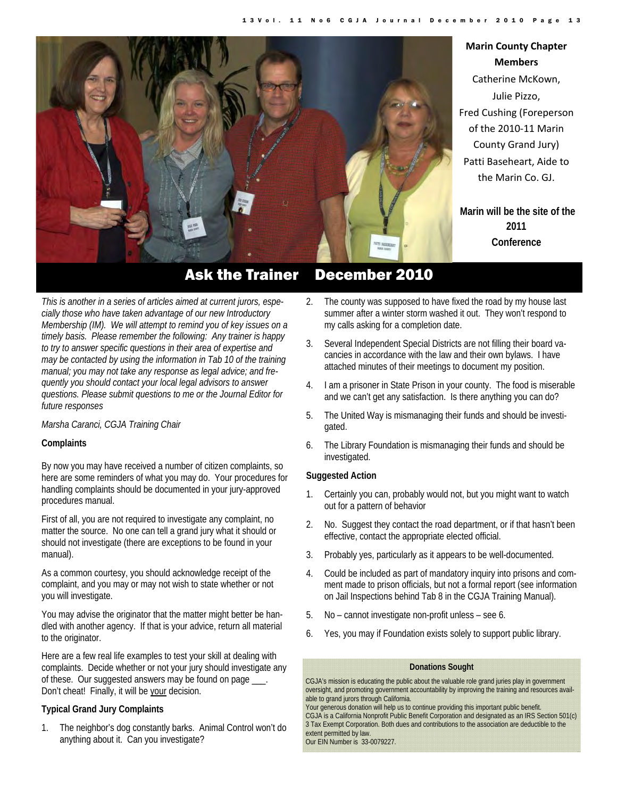

## **Marin County Chapter Members**  Catherine McKown, Julie Pizzo, Fred Cushing (Foreperson of the 2010‐11 Marin County Grand Jury) Patti Baseheart, Aide to the Marin Co. GJ.

**Marin will be the site of the 2011 Conference**

*This is another in a series of articles aimed at current jurors, especially those who have taken advantage of our new Introductory Membership (IM). We will attempt to remind you of key issues on a timely basis. Please remember the following: Any trainer is happy to try to answer specific questions in their area of expertise and may be contacted by using the information in Tab 10 of the training manual; you may not take any response as legal advice; and frequently you should contact your local legal advisors to answer questions. Please submit questions to me or the Journal Editor for future responses* 

#### *Marsha Caranci, CGJA Training Chair*

#### **Complaints**

By now you may have received a number of citizen complaints, so here are some reminders of what you may do. Your procedures for handling complaints should be documented in your jury-approved procedures manual.

First of all, you are not required to investigate any complaint, no matter the source. No one can tell a grand jury what it should or should not investigate (there are exceptions to be found in your manual).

As a common courtesy, you should acknowledge receipt of the complaint, and you may or may not wish to state whether or not you will investigate.

You may advise the originator that the matter might better be handled with another agency. If that is your advice, return all material to the originator.

Here are a few real life examples to test your skill at dealing with complaints. Decide whether or not your jury should investigate any of these. Our suggested answers may be found on page \_\_\_. Don't cheat! Finally, it will be your decision.

#### **Typical Grand Jury Complaints**

1. The neighbor's dog constantly barks. Animal Control won't do anything about it. Can you investigate?

- 2. The county was supposed to have fixed the road by my house last summer after a winter storm washed it out. They won't respond to my calls asking for a completion date.
- 3. Several Independent Special Districts are not filling their board vacancies in accordance with the law and their own bylaws. I have attached minutes of their meetings to document my position.
- 4. I am a prisoner in State Prison in your county. The food is miserable and we can't get any satisfaction. Is there anything you can do?
- 5. The United Way is mismanaging their funds and should be investigated.
- 6. The Library Foundation is mismanaging their funds and should be investigated.

#### **Suggested Action**

- 1. Certainly you can, probably would not, but you might want to watch out for a pattern of behavior
- 2. No. Suggest they contact the road department, or if that hasn't been effective, contact the appropriate elected official.
- 3. Probably yes, particularly as it appears to be well-documented.
- 4. Could be included as part of mandatory inquiry into prisons and comment made to prison officials, but not a formal report (see information on Jail Inspections behind Tab 8 in the CGJA Training Manual).
- 5. No cannot investigate non-profit unless see 6.
- 6. Yes, you may if Foundation exists solely to support public library.

#### **Donations Sought**

CGJA's mission is educating the public about the valuable role grand juries play in government oversight, and promoting government accountability by improving the training and resources available to grand jurors through California.

Your generous donation will help us to continue providing this important public benefit.

CGJA is a California Nonprofit Public Benefit Corporation and designated as an IRS Section 501(c) 3 Tax Exempt Corporation. Both dues and contributions to the association are deductible to the extent permitted by law.

Our EIN Number is 33-0079227.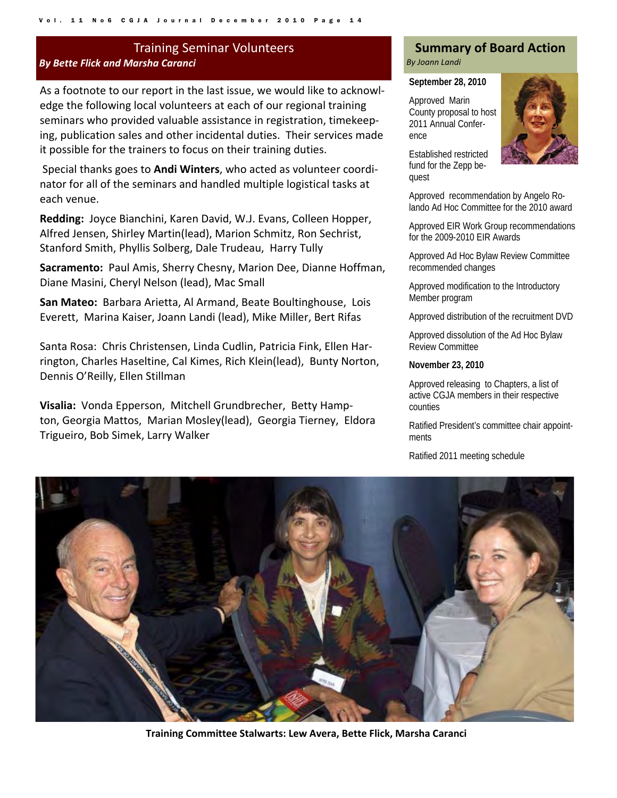## Training Seminar Volunteers *By Bette Flick and Marsha Caranci*

As a footnote to our report in the last issue, we would like to acknowl‐ edge the following local volunteers at each of our regional training seminars who provided valuable assistance in registration, timekeep‐ ing, publication sales and other incidental duties. Their services made it possible for the trainers to focus on their training duties.

Special thanks goes to **Andi Winters**, who acted as volunteer coordi‐ nator for all of the seminars and handled multiple logistical tasks at each venue.

Redding: Joyce Bianchini, Karen David, W.J. Evans, Colleen Hopper, Alfred Jensen, Shirley Martin(lead), Marion Schmitz, Ron Sechrist, Stanford Smith, Phyllis Solberg, Dale Trudeau, Harry Tully

**Sacramento:** Paul Amis, Sherry Chesny, Marion Dee, Dianne Hoffman, Diane Masini, Cheryl Nelson (lead), Mac Small

**San Mateo:** Barbara Arietta, Al Armand, Beate Boultinghouse, Lois Everett, Marina Kaiser, Joann Landi (lead), Mike Miller, Bert Rifas

Santa Rosa: Chris Christensen, Linda Cudlin, Patricia Fink, Ellen Har‐ rington, Charles Haseltine, Cal Kimes, Rich Klein(lead), Bunty Norton, Dennis O'Reilly, Ellen Stillman

**Visalia:** Vonda Epperson, Mitchell Grundbrecher, Betty Hamp‐ ton, Georgia Mattos, Marian Mosley(lead), Georgia Tierney, Eldora Trigueiro, Bob Simek, Larry Walker

#### **Summary of Board Action**  *By Joann Landi*

#### **September 28, 2010**

Approved Marin County proposal to host 2011 Annual Conference



Established restricted fund for the Zepp bequest

Approved recommendation by Angelo Rolando Ad Hoc Committee for the 2010 award

Approved EIR Work Group recommendations for the 2009-2010 EIR Awards

Approved Ad Hoc Bylaw Review Committee recommended changes

Approved modification to the Introductory Member program

Approved distribution of the recruitment DVD

Approved dissolution of the Ad Hoc Bylaw Review Committee

**November 23, 2010** 

Approved releasing to Chapters, a list of active CGJA members in their respective counties

Ratified President's committee chair appointments

Ratified 2011 meeting schedule



**Training Committee Stalwarts: Lew Avera, Bette Flick, Marsha Caranci**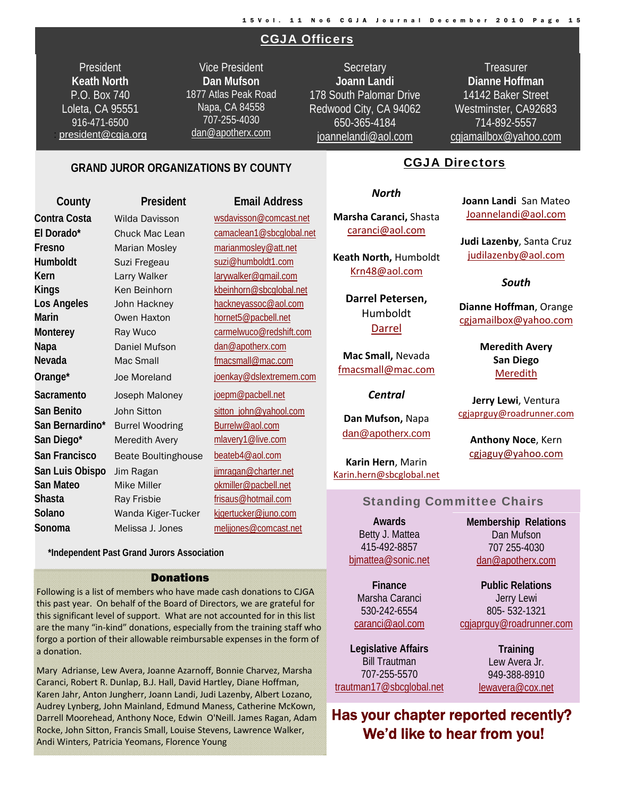## CGJA Officers

President **Keath North**  P.O. Box 740 Loleta, CA 95551 916-471-6500 : president@cgja.org

Vice President **Dan Mufson** 1877 Atlas Peak Road Napa, CA 84558 707-255-4030 dan@apotherx.com

**Secretary Joann Landi** 178 South Palomar Drive Redwood City, CA 94062 650-365-4184 joannelandi@aol.com

**Treasurer Dianne Hoffman**  14142 Baker Street Westminster, CA92683 714-892-5557 cgjamailbox@yahoo.com

CGJA Directors

#### **GRAND JUROR ORGANIZATIONS BY COUNTY**

## **County President Email Address Contra Costa** Wilda Davisson wsdavisson@comcast.net **El Dorado\*** Chuck Mac Lean camaclean1@sbcglobal.net **Fresno** Marian Mosley marianmosley@att.net **Humboldt** Suzi Fregeau suzi@humboldt1.com **Kern** Larry Walker larywalker@gmail.com **Kings** Ken Beinhorn kbeinhorn@sbcglobal.net Los Angeles John Hackney **hackneyassoc@aol.com Marin CWEN Haxton hornet5@pacbell.net Monterey** Ray Wuco carmelwuco@redshift.com Napa **Daniel Mufson** dan@apotherx.com **Nevada** Mac Small **Mac Small fmacsmall@mac.com Orange\*** Joe Moreland joenkay@dslextremem.com Sacramento Joseph Maloney ioepm@pacbell.net San Benito **John Sitton** sitton sitton\_john@yahool.com **San Bernardino\*** Burrel Woodring Burrelw@aol.com **San Diego\*** Meredith Avery mlavery1@live.com **San Francisco** Beate Boultinghouse beateb4@aol.com San Luis Obispo Jim Ragan **jimragan@charter.net San Mateo** Mike Miller **Miller** okmiller@pacbell.net **Shasta** Ray Frisbie frisaus@hotmail.com **Solano** Wanda Kiger-Tucker kjgertucker@juno.com **Sonoma** Melissa J. Jones meljjones@comcast.net

 **\*Independent Past Grand Jurors Association**

#### Donations

Following is a list of members who have made cash donations to CJGA this past year. On behalf of the Board of Directors, we are grateful for this significant level of support. What are not accounted for in this list are the many "in‐kind" donations, especially from the training staff who forgo a portion of their allowable reimbursable expenses in the form of a donation.

Mary Adrianse, Lew Avera, Joanne Azarnoff, Bonnie Charvez, Marsha Caranci, Robert R. Dunlap, B.J. Hall, David Hartley, Diane Hoffman, Karen Jahr, Anton Jungherr, Joann Landi, Judi Lazenby, Albert Lozano, Audrey Lynberg, John Mainland, Edmund Maness, Catherine McKown, Darrell Moorehead, Anthony Noce, Edwin O'Neill. James Ragan, Adam Rocke, John Sitton, Francis Small, Louise Stevens, Lawrence Walker, Andi Winters, Patricia Yeomans, Florence Young

#### *North*

**Marsha Caranci,** Shasta caranci@aol.com

**Keath North,** Humboldt Krn48@aol.com

> **Darrel Petersen,** Humboldt Darrel

**Mac Small,** Nevada fmacsmall@mac.com

*Central*

**Dan Mufson,** Napa dan@apotherx.com

**Karin Hern**, Marin Karin.hern@sbcglobal.net

#### Standing Committee Chairs

**Awards**  Betty J. Mattea 415-492-8857 bjmattea@sonic.net

**Finance**  Marsha Caranci 530-242-6554 caranci@aol.com

**Legislative Affairs**  Bill Trautman 707-255-5570 trautman17@sbcglobal.net

Lew Avera Jr. 949-388-8910 lewavera@cox.net

Has your chapter reported recently? We'd like to hear from you!

**Joann Landi** San Mateo Joannelandi@aol.com

**Judi Lazenby**, Santa Cruz judilazenby@aol.com

#### *South*

**Dianne Hoffman**, Orange cgjamailbox@yahoo.com

> **Meredith Avery San Diego** Meredith

**Jerry Lewi**, Ventura cgjaprguy@roadrunner.com

**Anthony Noce**, Kern cgjaguy@yahoo.com

**Membership Relations**  Dan Mufson 707 255-4030 dan@apotherx.com

**Public Relations**  Jerry Lewi 805- 532-1321 cgjaprguy@roadrunner.com

**Training**